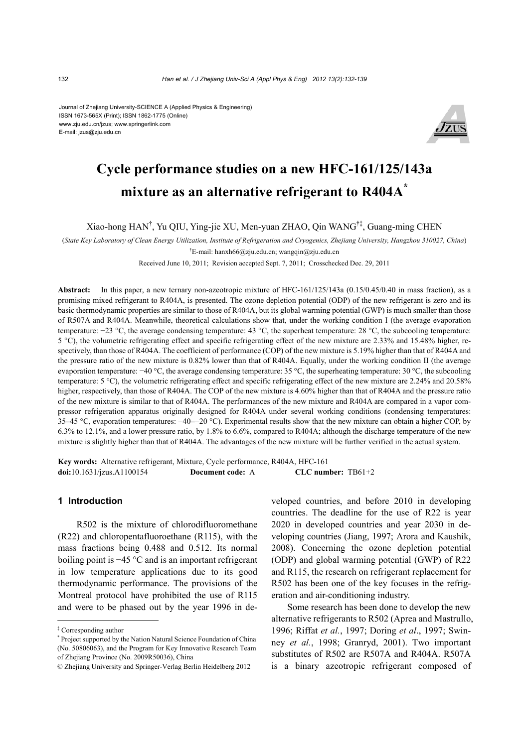#### Journal of Zhejiang University-SCIENCE A (Applied Physics & Engineering) ISSN 1673-565X (Print); ISSN 1862-1775 (Online) www.zju.edu.cn/jzus; www.springerlink.com E-mail: jzus@zju.edu.cn



# **Cycle performance studies on a new HFC-161/125/143a mixture as an alternative refrigerant to R404A\***

Xiao-hong HAN† , Yu QIU, Ying-jie XU, Men-yuan ZHAO, Qin WANG†‡, Guang-ming CHEN

(*State Key Laboratory of Clean Energy Utilization, Institute of Refrigeration and Cryogenics, Zhejiang University, Hangzhou 310027, China*)

† E-mail: hanxh66@zju.edu.cn; wangqin@zju.edu.cn

Received June 10, 2011; Revision accepted Sept. 7, 2011; Crosschecked Dec. 29, 2011

**Abstract:** In this paper, a new ternary non-azeotropic mixture of HFC-161/125/143a (0.15/0.45/0.40 in mass fraction), as a promising mixed refrigerant to R404A, is presented. The ozone depletion potential (ODP) of the new refrigerant is zero and its basic thermodynamic properties are similar to those of R404A, but its global warming potential (GWP) is much smaller than those of R507A and R404A. Meanwhile, theoretical calculations show that, under the working condition I (the average evaporation temperature: −23 °C, the average condensing temperature: 43 °C, the superheat temperature: 28 °C, the subcooling temperature: 5 °C), the volumetric refrigerating effect and specific refrigerating effect of the new mixture are 2.33% and 15.48% higher, respectively, than those of R404A. The coefficient of performance (COP) of the new mixture is 5.19% higher than that of R404A and the pressure ratio of the new mixture is 0.82% lower than that of R404A. Equally, under the working condition II (the average evaporation temperature: −40 °C, the average condensing temperature: 35 °C, the superheating temperature: 30 °C, the subcooling temperature: 5 °C), the volumetric refrigerating effect and specific refrigerating effect of the new mixture are 2.24% and 20.58% higher, respectively, than those of R404A. The COP of the new mixture is 4.60% higher than that of R404A and the pressure ratio of the new mixture is similar to that of R404A. The performances of the new mixture and R404A are compared in a vapor compressor refrigeration apparatus originally designed for R404A under several working conditions (condensing temperatures: 35–45 °C, evaporation temperatures: −40–−20 °C). Experimental results show that the new mixture can obtain a higher COP, by 6.3% to 12.1%, and a lower pressure ratio, by 1.8% to 6.6%, compared to R404A; although the discharge temperature of the new mixture is slightly higher than that of R404A. The advantages of the new mixture will be further verified in the actual system.

**Key words:** Alternative refrigerant, Mixture, Cycle performance, R404A, HFC-161 **doi:**10.1631/jzus.A1100154 **Document code:** A **CLC number:** TB61+2

## **1 Introduction**

R502 is the mixture of chlorodifluoromethane (R22) and chloropentafluoroethane (R115), with the mass fractions being 0.488 and 0.512. Its normal boiling point is −45 °C and is an important refrigerant in low temperature applications due to its good thermodynamic performance. The provisions of the Montreal protocol have prohibited the use of R115 and were to be phased out by the year 1996 in developed countries, and before 2010 in developing countries. The deadline for the use of R22 is year 2020 in developed countries and year 2030 in developing countries (Jiang, 1997; Arora and Kaushik, 2008). Concerning the ozone depletion potential (ODP) and global warming potential (GWP) of R22 and R115, the research on refrigerant replacement for R502 has been one of the key focuses in the refrigeration and air-conditioning industry.

Some research has been done to develop the new alternative refrigerants to R502 (Aprea and Mastrullo, 1996; Riffat *et al.*, 1997; Doring *et al*., 1997; Swinney *et al.*, 1998; Granryd, 2001). Two important substitutes of R502 are R507A and R404A. R507A is a binary azeotropic refrigerant composed of

<sup>‡</sup> Corresponding author

<sup>\*</sup> Project supported by the Nation Natural Science Foundation of China (No. 50806063), and the Program for Key Innovative Research Team of Zhejiang Province (No. 2009R50036), China

<sup>©</sup> Zhejiang University and Springer-Verlag Berlin Heidelberg 2012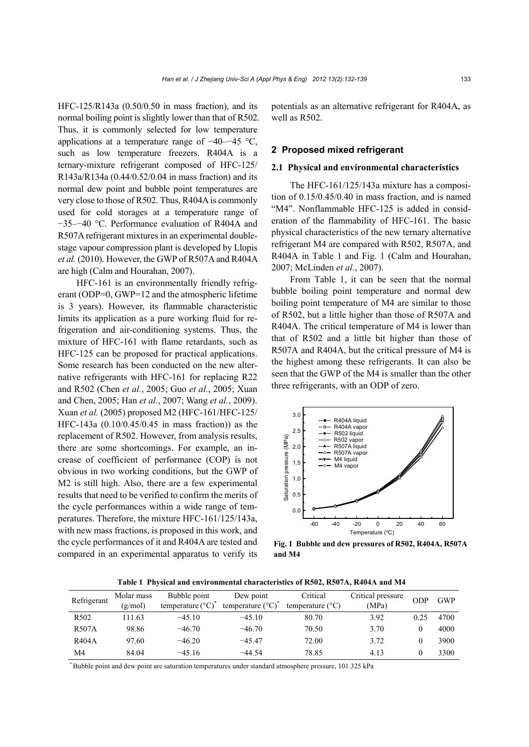HFC-125/R143a (0.50/0.50 in mass fraction), and its normal boiling point is slightly lower than that of R502. Thus, it is commonly selected for low temperature applications at a temperature range of −40–−45 °C, such as low temperature freezers. R404A is a ternary-mixture refrigerant composed of HFC-125/ R143a/R134a (0.44/0.52/0.04 in mass fraction) and its normal dew point and bubble point temperatures are very close to those of R502. Thus, R404A is commonly used for cold storages at a temperature range of −35–−40 °C. Performance evaluation of R404A and R507A refrigerant mixtures in an experimental doublestage vapour compression plant is developed by Llopis *et al.* (2010). However, the GWP of R507A and R404A are high (Calm and Hourahan, 2007).

HFC-161 is an environmentally friendly refrigerant (ODP=0, GWP=12 and the atmospheric lifetime is 3 years). However, its flammable characteristic limits its application as a pure working fluid for refrigeration and air-conditioning systems. Thus, the mixture of HFC-161 with flame retardants, such as HFC-125 can be proposed for practical applications. Some research has been conducted on the new alternative refrigerants with HFC-161 for replacing R22 and R502 (Chen *et al.*, 2005; Guo *et al.*, 2005; Xuan and Chen, 2005; Han *et al.*, 2007; Wang *et al.*, 2009). Xuan *et al.* (2005) proposed M2 (HFC-161/HFC-125/ HFC-143a (0.10/0.45/0.45 in mass fraction)) as the replacement of R502. However, from analysis results, there are some shortcomings. For example, an increase of coefficient of performance (COP) is not obvious in two working conditions, but the GWP of M2 is still high. Also, there are a few experimental results that need to be verified to confirm the merits of the cycle performances within a wide range of temperatures. Therefore, the mixture HFC-161/125/143a, with new mass fractions, is proposed in this work, and the cycle performances of it and R404A are tested and compared in an experimental apparatus to verify its potentials as an alternative refrigerant for R404A, as well as R502.

## **2 Proposed mixed refrigerant**

#### **2.1 Physical and environmental characteristics**

The HFC-161/125/143a mixture has a composition of 0.15/0.45/0.40 in mass fraction, and is named "M4". Nonflammable HFC-125 is added in consideration of the flammability of HFC-161. The basic physical characteristics of the new ternary alternative refrigerant M4 are compared with R502, R507A, and R404A in Table 1 and Fig. 1 (Calm and Hourahan, 2007; McLinden *et al.*, 2007).

From Table 1, it can be seen that the normal bubble boiling point temperature and normal dew boiling point temperature of M4 are similar to those of R502, but a little higher than those of R507A and R404A. The critical temperature of M4 is lower than that of R502 and a little bit higher than those of R507A and R404A, but the critical pressure of M4 is the highest among these refrigerants. It can also be seen that the GWP of the M4 is smaller than the other three refrigerants, with an ODP of zero.



**Fig. 1 Bubble and dew pressures of R502, R404A, R507A and M4** 

**Table 1 Physical and environmental characteristics of R502, R507A, R404A and M4** 

| Refrigerant      | Molar mass<br>(g/mol) | Bubble point<br>temperature $({}^{\circ}C)^{*}$ | Dew point<br>temperature $({}^{\circ}C)^{*}$ | Critical<br>temperature $(^{\circ}C)$ | Critical pressure<br>(MPa) | ODP  | <b>GWP</b> |
|------------------|-----------------------|-------------------------------------------------|----------------------------------------------|---------------------------------------|----------------------------|------|------------|
| R <sub>502</sub> | 11.63                 | $-45.10$                                        | $-45.10$                                     | 80.70                                 | 3.92                       | 0.25 | 4700       |
| <b>R507A</b>     | 98.86                 | $-46.70$                                        | $-46.70$                                     | 70.50                                 | 3.70                       |      | 4000       |
| R404A            | 97.60                 | $-46.20$                                        | $-45.47$                                     | 72.00                                 | 3.72                       |      | 3900       |
| M4               | 84.04                 | $-45.16$                                        | $-44.54$                                     | 78.85                                 | 4.13                       |      | 3300       |

\* Bubble point and dew point are saturation temperatures under standard atmosphere pressure, 101.325 kPa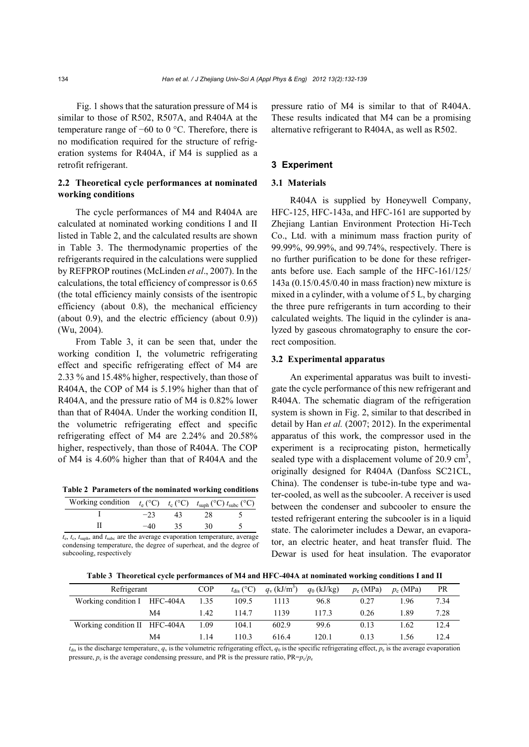Fig. 1 shows that the saturation pressure of M4 is similar to those of R502, R507A, and R404A at the temperature range of −60 to 0 °C. Therefore, there is no modification required for the structure of refrigeration systems for R404A, if M4 is supplied as a retrofit refrigerant.

## **2.2 Theoretical cycle performances at nominated working conditions**

The cycle performances of M4 and R404A are calculated at nominated working conditions I and II listed in Table 2, and the calculated results are shown in Table 3. The thermodynamic properties of the refrigerants required in the calculations were supplied by REFPROP routines (McLinden *et al*., 2007). In the calculations, the total efficiency of compressor is 0.65 (the total efficiency mainly consists of the isentropic efficiency (about 0.8), the mechanical efficiency (about 0.9), and the electric efficiency (about 0.9)) (Wu, 2004).

From Table 3, it can be seen that, under the working condition I, the volumetric refrigerating effect and specific refrigerating effect of M4 are 2.33 % and 15.48% higher, respectively, than those of R404A, the COP of M4 is 5.19% higher than that of R404A, and the pressure ratio of M4 is 0.82% lower than that of R404A. Under the working condition II, the volumetric refrigerating effect and specific refrigerating effect of M4 are 2.24% and 20.58% higher, respectively, than those of R404A. The COP of M4 is 4.60% higher than that of R404A and the

**Table 2 Parameters of the nominated working conditions**

| Working condition $t_e$ (°C) $t_c$ (°C) $t_{\text{suph}}$ (°C) $t_{\text{subc}}$ (°C) |  |  |
|---------------------------------------------------------------------------------------|--|--|
|                                                                                       |  |  |
|                                                                                       |  |  |

*t*e, *t*c, *t*suph, and *t*subc are the average evaporation temperature, average condensing temperature, the degree of superheat, and the degree of subcooling, respectively

pressure ratio of M4 is similar to that of R404A. These results indicated that M4 can be a promising alternative refrigerant to R404A, as well as R502.

### **3 Experiment**

#### **3.1 Materials**

R404A is supplied by Honeywell Company, HFC-125, HFC-143a, and HFC-161 are supported by Zhejiang Lantian Environment Protection Hi-Tech Co., Ltd. with a minimum mass fraction purity of 99.99%, 99.99%, and 99.74%, respectively. There is no further purification to be done for these refrigerants before use. Each sample of the HFC-161/125/ 143a (0.15/0.45/0.40 in mass fraction) new mixture is mixed in a cylinder, with a volume of 5 L, by charging the three pure refrigerants in turn according to their calculated weights. The liquid in the cylinder is analyzed by gaseous chromatography to ensure the correct composition.

#### **3.2 Experimental apparatus**

An experimental apparatus was built to investigate the cycle performance of this new refrigerant and R404A. The schematic diagram of the refrigeration system is shown in Fig. 2, similar to that described in detail by Han *et al.* (2007; 2012). In the experimental apparatus of this work, the compressor used in the experiment is a reciprocating piston, hermetically sealed type with a displacement volume of  $20.9 \text{ cm}^3$ , originally designed for R404A (Danfoss SC21CL, China). The condenser is tube-in-tube type and water-cooled, as well as the subcooler. A receiver is used between the condenser and subcooler to ensure the tested refrigerant entering the subcooler is in a liquid state. The calorimeter includes a Dewar, an evaporator, an electric heater, and heat transfer fluid. The Dewar is used for heat insulation. The evaporator

**Table 3 Theoretical cycle performances of M4 and HFC-404A at nominated working conditions I and II** 

| Refrigerant                   |    | COP  | $t_{\text{dis}}$ (°C) | $q_{v}$ (kJ/m <sup>3</sup> ) | $q_0$ (kJ/kg) | $p_e$ (MPa) | $p_c$ (MPa) | <b>PR</b> |
|-------------------------------|----|------|-----------------------|------------------------------|---------------|-------------|-------------|-----------|
| Working condition I HFC-404A  |    | 1.35 | 109.5                 | 1113                         | 96.8          | 0.27        | .96         | 7.34      |
|                               | M4 | 1.42 | 114.7                 | 1139                         | 1173          | 0.26        | -89         | 7.28      |
| Working condition II HFC-404A |    | 1.09 | 104.1                 | 602.9                        | 99.6          | 0.13        | - 62        | 12.4      |
|                               | M4 | 1.14 | 110.3                 | 6164                         | 120.1         | 0.13        | .56         | 12.4      |

 $t_{\text{dis}}$  is the discharge temperature,  $q_v$  is the volumetric refrigerating effect,  $q_0$  is the specific refrigerating effect,  $p_e$  is the average evaporation pressure,  $p_c$  is the average condensing pressure, and PR is the pressure ratio,  $PR = p_c/p_e$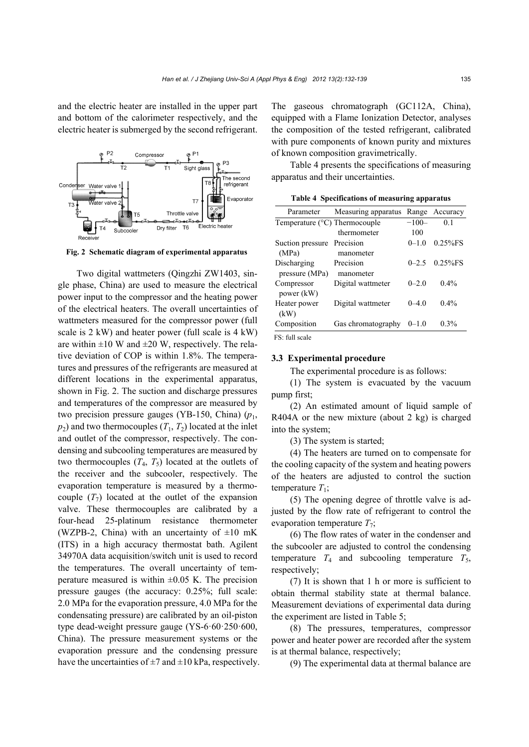and the electric heater are installed in the upper part and bottom of the calorimeter respectively, and the electric heater is submerged by the second refrigerant.



**Fig. 2 Schematic diagram of experimental apparatus**

Two digital wattmeters (Qingzhi ZW1403, single phase, China) are used to measure the electrical power input to the compressor and the heating power of the electrical heaters. The overall uncertainties of wattmeters measured for the compressor power (full scale is 2 kW) and heater power (full scale is 4 kW) are within  $\pm 10$  W and  $\pm 20$  W, respectively. The relative deviation of COP is within 1.8%. The temperatures and pressures of the refrigerants are measured at different locations in the experimental apparatus, shown in Fig. 2. The suction and discharge pressures and temperatures of the compressor are measured by two precision pressure gauges (YB-150, China) (*p*1,  $p_2$ ) and two thermocouples  $(T_1, T_2)$  located at the inlet and outlet of the compressor, respectively. The condensing and subcooling temperatures are measured by two thermocouples  $(T_4, T_5)$  located at the outlets of the receiver and the subcooler, respectively. The evaporation temperature is measured by a thermocouple  $(T_7)$  located at the outlet of the expansion valve. These thermocouples are calibrated by a four-head 25-platinum resistance thermometer (WZPB-2, China) with an uncertainty of  $\pm 10$  mK (ITS) in a high accuracy thermostat bath. Agilent 34970A data acquisition/switch unit is used to record the temperatures. The overall uncertainty of temperature measured is within  $\pm 0.05$  K. The precision pressure gauges (the accuracy: 0.25%; full scale: 2.0 MPa for the evaporation pressure, 4.0 MPa for the condensating pressure) are calibrated by an oil-piston type dead-weight pressure gauge (YS-6·60·250·600, China). The pressure measurement systems or the evaporation pressure and the condensing pressure have the uncertainties of  $\pm$ 7 and  $\pm$ 10 kPa, respectively. The gaseous chromatograph (GC112A, China), equipped with a Flame Ionization Detector, analyses the composition of the tested refrigerant, calibrated with pure components of known purity and mixtures of known composition gravimetrically.

Table 4 presents the specifications of measuring apparatus and their uncertainties.

| Table 4 Specifications of measuring apparatus |  |
|-----------------------------------------------|--|
|                                               |  |

| Parameter                              | Measuring apparatus | Range     | Accuracy       |
|----------------------------------------|---------------------|-----------|----------------|
| Temperature $(^{\circ}C)$ Thermocouple |                     | $-100-$   | 0 <sub>1</sub> |
|                                        | thermometer         | 100       |                |
| Suction pressure                       | Precision           | $0 - 1.0$ | $0.25%$ FS     |
| (MPa)                                  | manometer           |           |                |
| Discharging                            | Precision           | $0 - 2.5$ | $0.25%$ FS     |
| pressure (MPa)                         | manometer           |           |                |
| Compressor<br>power (kW)               | Digital wattmeter   | $0 - 2.0$ | $0.4\%$        |
| Heater power<br>(kW)                   | Digital wattmeter   | $0 - 40$  | $0.4\%$        |
| Composition                            | Gas chromatography  | $0 - 1.0$ | $0.3\%$        |
| FS: full scale                         |                     |           |                |

#### **3.3 Experimental procedure**

The experimental procedure is as follows:

(1) The system is evacuated by the vacuum pump first;

(2) An estimated amount of liquid sample of R404A or the new mixture (about 2 kg) is charged into the system;

(3) The system is started;

(4) The heaters are turned on to compensate for the cooling capacity of the system and heating powers of the heaters are adjusted to control the suction temperature  $T_1$ ;

(5) The opening degree of throttle valve is adjusted by the flow rate of refrigerant to control the evaporation temperature  $T_7$ ;

(6) The flow rates of water in the condenser and the subcooler are adjusted to control the condensing temperature  $T_4$  and subcooling temperature  $T_5$ , respectively;

(7) It is shown that 1 h or more is sufficient to obtain thermal stability state at thermal balance. Measurement deviations of experimental data during the experiment are listed in Table 5;

(8) The pressures, temperatures, compressor power and heater power are recorded after the system is at thermal balance, respectively;

(9) The experimental data at thermal balance are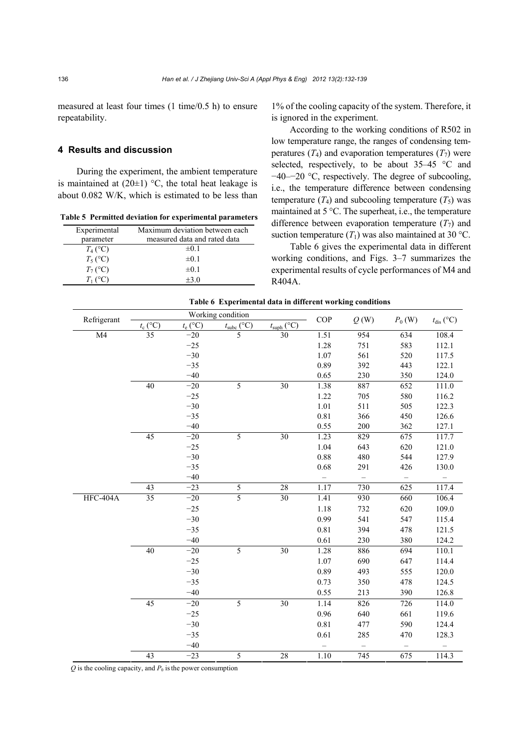measured at least four times (1 time/0.5 h) to ensure repeatability.

## **4 Results and discussion**

During the experiment, the ambient temperature is maintained at  $(20\pm 1)$  °C, the total heat leakage is about 0.082 W/K, which is estimated to be less than

**Table 5 Permitted deviation for experimental parameters**

| Experimental | Maximum deviation between each |  |  |  |  |
|--------------|--------------------------------|--|--|--|--|
| parameter    | measured data and rated data   |  |  |  |  |
| $T_4$ (°C)   | $\pm 0.1$                      |  |  |  |  |
| $T_5$ (°C)   | $\pm 0.1$                      |  |  |  |  |
| $T_7$ (°C)   | $\pm 0.1$                      |  |  |  |  |
| $T_1$ (°C)   | $+3.0$                         |  |  |  |  |

1% of the cooling capacity of the system. Therefore, it is ignored in the experiment.

According to the working conditions of R502 in low temperature range, the ranges of condensing temperatures  $(T_4)$  and evaporation temperatures  $(T_7)$  were selected, respectively, to be about 35–45 °C and −40–−20 °C, respectively. The degree of subcooling, i.e., the temperature difference between condensing temperature  $(T_4)$  and subcooling temperature  $(T_5)$  was maintained at 5 °C. The superheat, i.e., the temperature difference between evaporation temperature  $(T_7)$  and suction temperature  $(T_1)$  was also maintained at 30 °C.

Table 6 gives the experimental data in different working conditions, and Figs. 3–7 summarizes the experimental results of cycle performances of M4 and R404A.

|  | Table 6 Experimental data in different working conditions |  |  |  |  |
|--|-----------------------------------------------------------|--|--|--|--|
|--|-----------------------------------------------------------|--|--|--|--|

|             |                        |            | Working condition      |                        | COP                      |                          | $P_0$ (W)         |                       |
|-------------|------------------------|------------|------------------------|------------------------|--------------------------|--------------------------|-------------------|-----------------------|
| Refrigerant | $\frac{t_c$ (°C)<br>35 | $t_e$ (°C) | $t_{\text{subc}}$ (°C) | $t_{\text{suph}}$ (°C) |                          | Q(W)                     |                   | $t_{\text{dis}}$ (°C) |
| M4          |                        | $-20$      | $\overline{5}$         | 30                     | 1.51                     | 954                      | $\overline{634}$  | 108.4                 |
|             |                        | $-25$      |                        |                        | 1.28                     | 751                      | 583               | 112.1                 |
|             |                        | $-30$      |                        |                        | 1.07                     | 561                      | 520               | 117.5                 |
|             |                        | $-35$      |                        |                        | 0.89                     | 392                      | 443               | 122.1                 |
|             |                        | $-40$      |                        |                        | 0.65                     | 230                      | 350               | 124.0                 |
|             | 40                     | $-20$      | 5                      | 30                     | 1.38                     | 887                      | 652               | 111.0                 |
|             |                        | $-25$      |                        |                        | 1.22                     | 705                      | 580               | 116.2                 |
|             |                        | $-30$      |                        |                        | 1.01                     | 511                      | 505               | 122.3                 |
|             |                        | $-35$      |                        |                        | 0.81                     | 366                      | 450               | 126.6                 |
|             |                        | $-40$      |                        |                        | 0.55                     | 200                      | 362               | 127.1                 |
|             | 45                     | $-20$      | 5                      | $\overline{30}$        | 1.23                     | 829                      | 675               | 117.7                 |
|             |                        | $-25$      |                        |                        | 1.04                     | 643                      | 620               | 121.0                 |
|             |                        | $-30$      |                        |                        | 0.88                     | 480                      | 544               | 127.9                 |
|             |                        | $-35$      |                        |                        | 0.68                     | 291                      | 426               | 130.0                 |
|             |                        | $-40$      |                        |                        | $\overline{\phantom{0}}$ | $\overline{\phantom{0}}$ | $\qquad \qquad -$ | $\qquad \qquad -$     |
|             | 43                     | $-23$      | 5                      | 28                     | 1.17                     | 730                      | 625               | 117.4                 |
| HFC-404A    | $\overline{35}$        | $-20$      | $\overline{5}$         | $\overline{30}$        | 1.41                     | 930                      | 660               | 106.4                 |
|             |                        | $-25$      |                        |                        | 1.18                     | 732                      | 620               | 109.0                 |
|             |                        | $-30$      |                        |                        | 0.99                     | 541                      | 547               | 115.4                 |
|             |                        | $-35$      |                        |                        | 0.81                     | 394                      | 478               | 121.5                 |
|             |                        | $-40$      |                        |                        | 0.61                     | 230                      | 380               | 124.2                 |
|             | 40                     | $-20$      | 5                      | 30                     | 1.28                     | 886                      | 694               | 110.1                 |
|             |                        | $-25$      |                        |                        | 1.07                     | 690                      | 647               | 114.4                 |
|             |                        | $-30$      |                        |                        | 0.89                     | 493                      | 555               | 120.0                 |
|             |                        | $-35$      |                        |                        | 0.73                     | 350                      | 478               | 124.5                 |
|             |                        | $-40$      |                        |                        | 0.55                     | 213                      | 390               | 126.8                 |
|             | 45                     | $-20$      | 5                      | $\overline{30}$        | 1.14                     | 826                      | 726               | 114.0                 |
|             |                        | $-25$      |                        |                        | 0.96                     | 640                      | 661               | 119.6                 |
|             |                        | $-30$      |                        |                        | 0.81                     | 477                      | 590               | 124.4                 |
|             |                        | $-35$      |                        |                        | 0.61                     | 285                      | 470               | 128.3                 |
|             |                        | $-40$      |                        |                        |                          |                          |                   |                       |
|             | 43                     | $-23$      | 5                      | 28                     | 1.10                     | $\overline{745}$         | 675               | 114.3                 |

 $Q$  is the cooling capacity, and  $P_0$  is the power consumption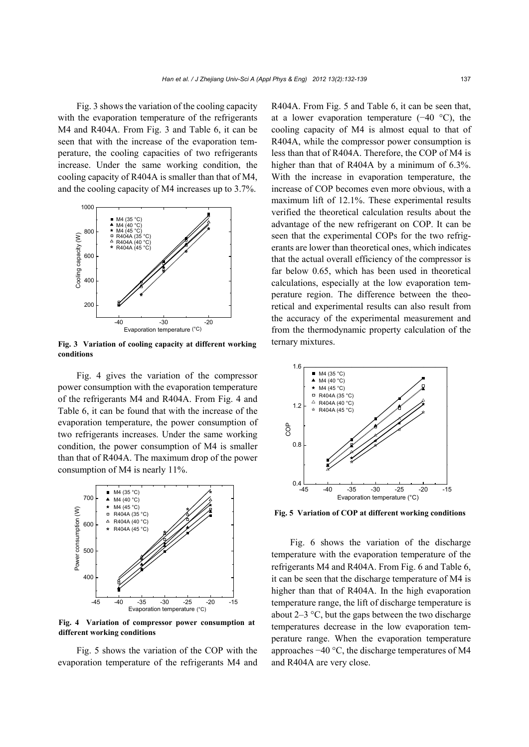Fig. 3 shows the variation of the cooling capacity with the evaporation temperature of the refrigerants M4 and R404A. From Fig. 3 and Table 6, it can be seen that with the increase of the evaporation temperature, the cooling capacities of two refrigerants increase. Under the same working condition, the cooling capacity of R404A is smaller than that of M4, and the cooling capacity of M4 increases up to 3.7%.



**Fig. 3 Variation of cooling capacity at different working conditions** 

Fig. 4 gives the variation of the compressor power consumption with the evaporation temperature of the refrigerants M4 and R404A. From Fig. 4 and Table 6, it can be found that with the increase of the evaporation temperature, the power consumption of two refrigerants increases. Under the same working condition, the power consumption of M4 is smaller than that of R404A. The maximum drop of the power consumption of M4 is nearly 11%.



**Fig. 4 Variation of compressor power consumption at different working conditions** 

Fig. 5 shows the variation of the COP with the evaporation temperature of the refrigerants M4 and R404A. From Fig. 5 and Table 6, it can be seen that, at a lower evaporation temperature  $(-40 \degree C)$ , the cooling capacity of M4 is almost equal to that of R404A, while the compressor power consumption is less than that of R404A. Therefore, the COP of M4 is higher than that of R404A by a minimum of 6.3%. With the increase in evaporation temperature, the increase of COP becomes even more obvious, with a maximum lift of 12.1%. These experimental results verified the theoretical calculation results about the advantage of the new refrigerant on COP. It can be seen that the experimental COPs for the two refrigerants are lower than theoretical ones, which indicates that the actual overall efficiency of the compressor is far below 0.65, which has been used in theoretical calculations, especially at the low evaporation temperature region. The difference between the theoretical and experimental results can also result from the accuracy of the experimental measurement and from the thermodynamic property calculation of the ternary mixtures.



**Fig. 5 Variation of COP at different working conditions**

Fig. 6 shows the variation of the discharge temperature with the evaporation temperature of the refrigerants M4 and R404A. From Fig. 6 and Table 6, it can be seen that the discharge temperature of M4 is higher than that of R404A. In the high evaporation temperature range, the lift of discharge temperature is about  $2-3$  °C, but the gaps between the two discharge temperatures decrease in the low evaporation temperature range. When the evaporation temperature approaches −40 °C, the discharge temperatures of M4 and R404A are very close.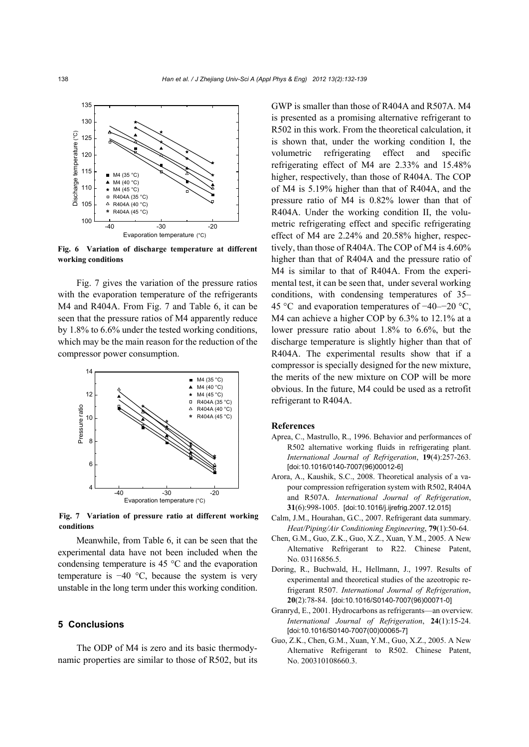

**Fig. 6 Variation of discharge temperature at different working conditions** 

Fig. 7 gives the variation of the pressure ratios with the evaporation temperature of the refrigerants M4 and R404A. From Fig. 7 and Table 6, it can be seen that the pressure ratios of M4 apparently reduce by 1.8% to 6.6% under the tested working conditions, which may be the main reason for the reduction of the compressor power consumption.



**Fig. 7 Variation of pressure ratio at different working conditions** 

Meanwhile, from Table 6, it can be seen that the experimental data have not been included when the condensing temperature is 45 °C and the evaporation temperature is −40 °C, because the system is very unstable in the long term under this working condition.

### **5 Conclusions**

The ODP of M4 is zero and its basic thermodynamic properties are similar to those of R502, but its GWP is smaller than those of R404A and R507A. M4 is presented as a promising alternative refrigerant to R502 in this work. From the theoretical calculation, it is shown that, under the working condition I, the volumetric refrigerating effect and specific refrigerating effect of M4 are 2.33% and 15.48% higher, respectively, than those of R404A. The COP of M4 is 5.19% higher than that of R404A, and the pressure ratio of M4 is 0.82% lower than that of R404A. Under the working condition II, the volumetric refrigerating effect and specific refrigerating effect of M4 are 2.24% and 20.58% higher, respectively, than those of R404A. The COP of M4 is 4.60% higher than that of R404A and the pressure ratio of M4 is similar to that of R404A. From the experimental test, it can be seen that, under several working conditions, with condensing temperatures of 35– 45 °C and evaporation temperatures of −40–−20 °C, M4 can achieve a higher COP by 6.3% to 12.1% at a lower pressure ratio about 1.8% to 6.6%, but the discharge temperature is slightly higher than that of R404A. The experimental results show that if a compressor is specially designed for the new mixture, the merits of the new mixture on COP will be more obvious. In the future, M4 could be used as a retrofit refrigerant to R404A.

## **References**

- Aprea, C., Mastrullo, R., 1996. Behavior and performances of R502 alternative working fluids in refrigerating plant. *International Journal of Refrigeration*, **19**(4):257-263. [doi:10.1016/0140-7007(96)00012-6]
- Arora, A., Kaushik, S.C., 2008. Theoretical analysis of a vapour compression refrigeration system with R502, R404A and R507A. *International Journal of Refrigeration*, **31**(6):998-1005. [doi:10.1016/j.ijrefrig.2007.12.015]
- Calm, J.M., Hourahan, G.C., 2007. Refrigerant data summary. *Heat/Piping/Air Conditioning Engineering*, **79**(1):50-64.
- Chen, G.M., Guo, Z.K., Guo, X.Z., Xuan, Y.M., 2005. A New Alternative Refrigerant to R22. Chinese Patent, No. 03116856.5.
- Doring, R., Buchwald, H., Hellmann, J., 1997. Results of experimental and theoretical studies of the azeotropic refrigerant R507. *International Journal of Refrigeration*, **20**(2):78-84. [doi:10.1016/S0140-7007(96)00071-0]
- Granryd, E., 2001. Hydrocarbons as refrigerants—an overview. *International Journal of Refrigeration*, **24**(1):15-24. [doi:10.1016/S0140-7007(00)00065-7]
- Guo, Z.K., Chen, G.M., Xuan, Y.M., Guo, X.Z., 2005. A New Alternative Refrigerant to R502. Chinese Patent, No. 200310108660.3.